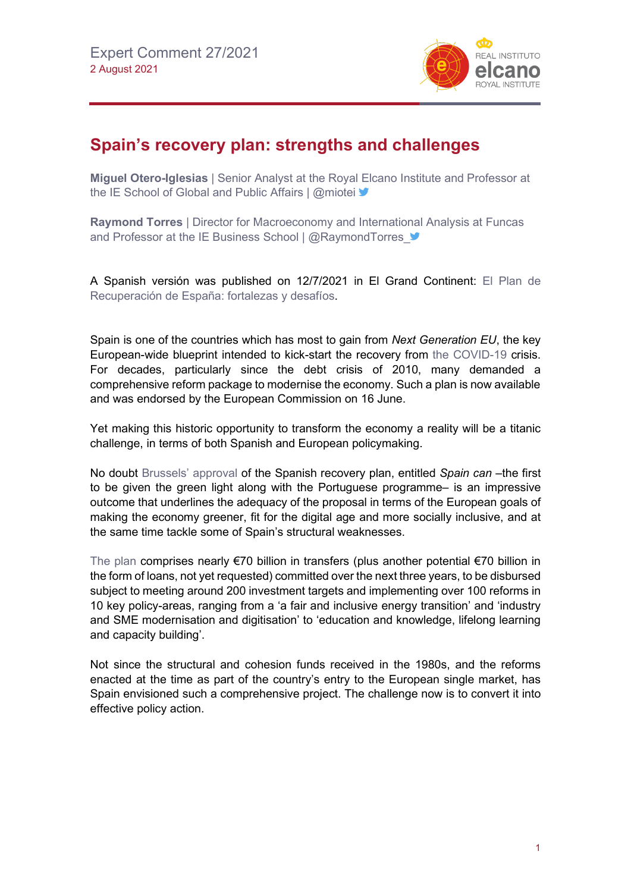

## **Spain's recovery plan: strengths and challenges**

**Miguel Otero-Iglesias** | Senior Analyst at the Royal Elcano Institute and Professor at the IE School of Global and Public Affairs | @miotei  $\blacktriangleright$ 

**Raymond Torres** | Director for Macroeconomy and International Analysis at Funcas and Professor at the IE Business School | @RaymondTorres

A Spanish versión was published on 12/7/2021 in El Grand Continent: [El Plan de](https://legrandcontinent.eu/es/2021/07/12/el-plan-de-recuperacion-de-espana-fortalezas-y-desafios/)  [Recuperación de España: fortalezas y](https://legrandcontinent.eu/es/2021/07/12/el-plan-de-recuperacion-de-espana-fortalezas-y-desafios/) desafíos.

Spain is one of the countries which has most to gain from *Next Generation EU*, the key European-wide blueprint intended to kick-start the recovery from [the COVID-19](https://especiales.realinstitutoelcano.org/coronavirus/?lang=en) crisis. For decades, particularly since the debt crisis of 2010, many demanded a comprehensive reform package to modernise the economy. Such a plan is now available and was endorsed by the European Commission on 16 June.

Yet making this historic opportunity to transform the economy a reality will be a titanic challenge, in terms of both Spanish and European policymaking.

No doubt [Brussels' approval](https://ec.europa.eu/commission/presscorner/detail/en/ip_21_2987) of the Spanish recovery plan, entitled *Spain can* –the first to be given the green light along with the Portuguese programme– is an impressive outcome that underlines the adequacy of the proposal in terms of the European goals of making the economy greener, fit for the digital age and more socially inclusive, and at the same time tackle some of Spain's structural weaknesses.

[The plan](https://www.lamoncloa.gob.es/presidente/actividades/Paginas/2020/espana-puede.aspx) comprises nearly €70 billion in transfers (plus another potential €70 billion in the form of loans, not yet requested) committed over the next three years, to be disbursed subject to meeting around 200 investment targets and implementing over 100 reforms in 10 key policy-areas, ranging from a 'a fair and inclusive energy transition' and 'industry and SME modernisation and digitisation' to 'education and knowledge, lifelong learning and capacity building'.

Not since the structural and cohesion funds received in the 1980s, and the reforms enacted at the time as part of the country's entry to the European single market, has Spain envisioned such a comprehensive project. The challenge now is to convert it into effective policy action.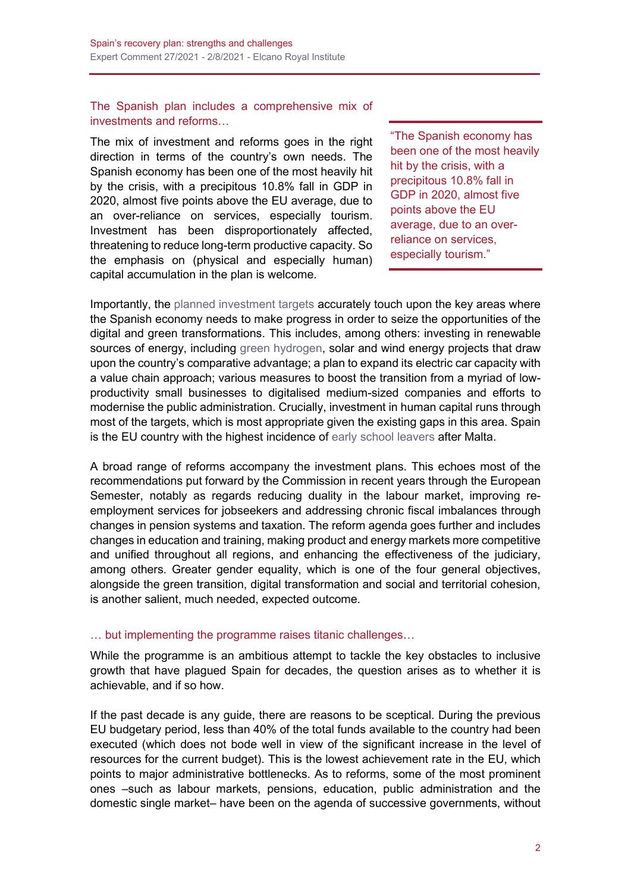The Spanish plan includes a comprehensive mix of investments and reforms…

The mix of investment and reforms goes in the right direction in terms of the country's own needs. The Spanish economy has been one of the most heavily hit by the crisis, with a precipitous 10.8% fall in GDP in 2020, almost five points above the EU average, due to an over-reliance on services, especially tourism. Investment has been disproportionately affected, threatening to reduce long-term productive capacity. So the emphasis on (physical and especially human) capital accumulation in the plan is welcome.

"The Spanish economy has been one of the most heavily hit by the crisis, with a precipitous 10.8% fall in GDP in 2020, almost five points above the EU average, due to an overreliance on services, especially tourism."

Importantly, the [planned investment targets](http://www.realinstitutoelcano.org/wps/portal/rielcano_en/contenido?WCM_GLOBAL_CONTEXT=/elcano/elcano_in/zonas_in/ari35-2021-feas-steinberg-european-recovery-plan-figures-for-spain) accurately touch upon the key areas where the Spanish economy needs to make progress in order to seize the opportunities of the digital and green transformations. This includes, among others: investing in renewable sources of energy, including [green hydrogen,](http://www.realinstitutoelcano.org/wps/portal/rielcano_en/contenido?WCM_GLOBAL_CONTEXT=/elcano/elcano_in/zonas_in/policy-paper-escribano-h2-med-geoeconomic-geopolitical-drivers-and-barriers-in-mediterranean) solar and wind energy projects that draw upon the country's comparative advantage; a plan to expand its electric car capacity with a value chain approach; various measures to boost the transition from a myriad of lowproductivity small businesses to digitalised medium-sized companies and efforts to modernise the public administration. Crucially, investment in human capital runs through most of the targets, which is most appropriate given the existing gaps in this area. Spain is the EU country with the highest incidence of [early school leavers](https://ec.europa.eu/info/sites/default/files/european-semester_thematic-factsheet_early-school-leavers_en_0.pdf) after Malta.

A broad range of reforms accompany the investment plans. This echoes most of the recommendations put forward by the Commission in recent years through the European Semester, notably as regards reducing duality in the labour market, improving reemployment services for jobseekers and addressing chronic fiscal imbalances through changes in pension systems and taxation. The reform agenda goes further and includes changes in education and training, making product and energy markets more competitive and unified throughout all regions, and enhancing the effectiveness of the judiciary, among others. Greater gender equality, which is one of the four general objectives, alongside the green transition, digital transformation and social and territorial cohesion, is another salient, much needed, expected outcome.

## … but implementing the programme raises titanic challenges…

While the programme is an ambitious attempt to tackle the key obstacles to inclusive growth that have plagued Spain for decades, the question arises as to whether it is achievable, and if so how.

If the past decade is any guide, there are reasons to be sceptical. During the previous EU budgetary period, less than 40% of the total funds available to the country had been executed (which does not bode well in view of the significant increase in the level of resources for the current budget). This is the lowest achievement rate in the EU, which points to major administrative bottlenecks. As to reforms, some of the most prominent ones –such as labour markets, pensions, education, public administration and the domestic single market– have been on the agenda of successive governments, without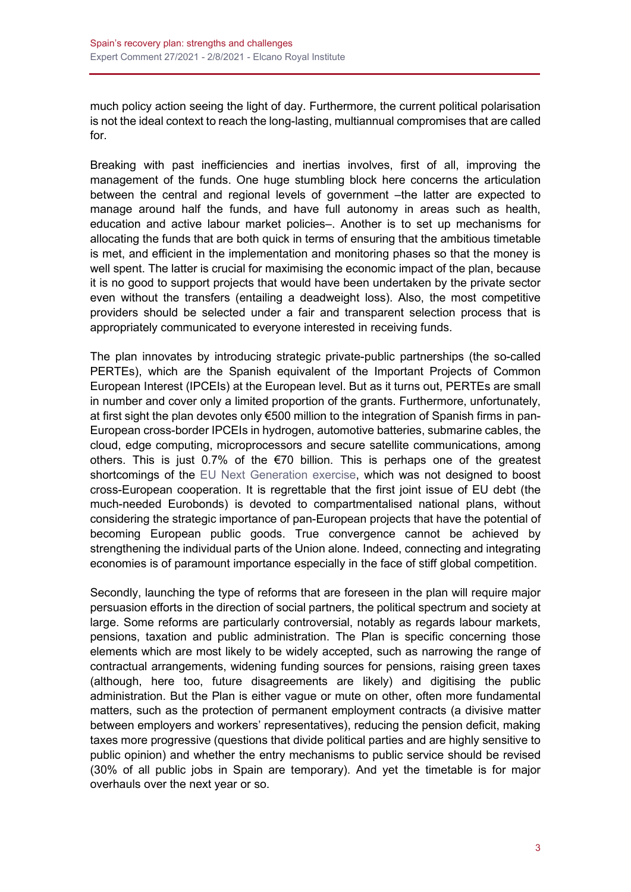much policy action seeing the light of day. Furthermore, the current political polarisation is not the ideal context to reach the long-lasting, multiannual compromises that are called for.

Breaking with past inefficiencies and inertias involves, first of all, improving the management of the funds. One huge stumbling block here concerns the articulation between the central and regional levels of government –the latter are expected to manage around half the funds, and have full autonomy in areas such as health, education and active labour market policies–. Another is to set up mechanisms for allocating the funds that are both quick in terms of ensuring that the ambitious timetable is met, and efficient in the implementation and monitoring phases so that the money is well spent. The latter is crucial for maximising the economic impact of the plan, because it is no good to support projects that would have been undertaken by the private sector even without the transfers (entailing a deadweight loss). Also, the most competitive providers should be selected under a fair and transparent selection process that is appropriately communicated to everyone interested in receiving funds.

The plan innovates by introducing strategic private-public partnerships (the so-called PERTEs), which are the Spanish equivalent of the Important Projects of Common European Interest (IPCEIs) at the European level. But as it turns out, PERTEs are small in number and cover only a limited proportion of the grants. Furthermore, unfortunately, at first sight the plan devotes only €500 million to the integration of Spanish firms in pan-European cross-border IPCEIs in hydrogen, automotive batteries, submarine cables, the cloud, edge computing, microprocessors and secure satellite communications, among others. This is just 0.7% of the  $\epsilon$ 70 billion. This is perhaps one of the greatest shortcomings of the [EU Next Generation exercise,](http://www.realinstitutoelcano.org/wps/portal/rielcano_es/contenido?WCM_GLOBAL_CONTEXT=/elcano/elcano_es/zonas_es/ari100-2020-kolling-consejo-europeo-extraordinario-julio-2020-mucho-ruido-muchas-nueces-algunas-sombras) which was not designed to boost cross-European cooperation. It is regrettable that the first joint issue of EU debt (the much-needed Eurobonds) is devoted to compartmentalised national plans, without considering the strategic importance of pan-European projects that have the potential of becoming European public goods. True convergence cannot be achieved by strengthening the individual parts of the Union alone. Indeed, connecting and integrating economies is of paramount importance especially in the face of stiff global competition.

Secondly, launching the type of reforms that are foreseen in the plan will require major persuasion efforts in the direction of social partners, the political spectrum and society at large. Some reforms are particularly controversial, notably as regards labour markets, pensions, taxation and public administration. The Plan is specific concerning those elements which are most likely to be widely accepted, such as narrowing the range of contractual arrangements, widening funding sources for pensions, raising green taxes (although, here too, future disagreements are likely) and digitising the public administration. But the Plan is either vague or mute on other, often more fundamental matters, such as the protection of permanent employment contracts (a divisive matter between employers and workers' representatives), reducing the pension deficit, making taxes more progressive (questions that divide political parties and are highly sensitive to public opinion) and whether the entry mechanisms to public service should be revised (30% of all public jobs in Spain are temporary). And yet the timetable is for major overhauls over the next year or so.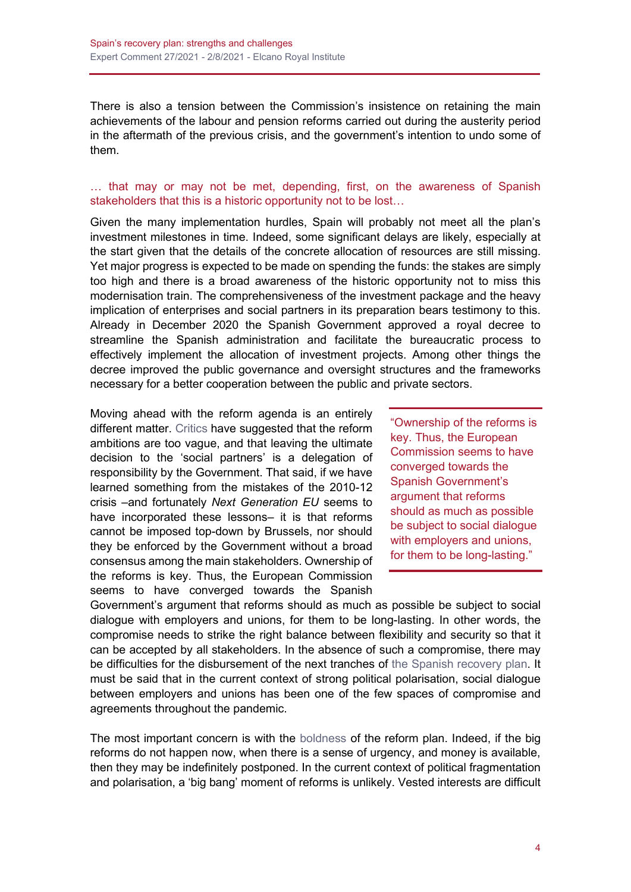There is also a tension between the Commission's insistence on retaining the main achievements of the labour and pension reforms carried out during the austerity period in the aftermath of the previous crisis, and the government's intention to undo some of them.

## … that may or may not be met, depending, first, on the awareness of Spanish stakeholders that this is a historic opportunity not to be lost…

Given the many implementation hurdles, Spain will probably not meet all the plan's investment milestones in time. Indeed, some significant delays are likely, especially at the start given that the details of the concrete allocation of resources are still missing. Yet major progress is expected to be made on spending the funds: the stakes are simply too high and there is a broad awareness of the historic opportunity not to miss this modernisation train. The comprehensiveness of the investment package and the heavy implication of enterprises and social partners in its preparation bears testimony to this. Already in December 2020 the Spanish Government approved a royal decree to streamline the Spanish administration and facilitate the bureaucratic process to effectively implement the allocation of investment projects. Among other things the decree improved the public governance and oversight structures and the frameworks necessary for a better cooperation between the public and private sectors.

Moving ahead with the reform agenda is an entirely different matter. [Critics](https://www.youtube.com/watch?v=vTOT07cAKCY&ab_channel=LuisGaricano) have suggested that the reform ambitions are too vague, and that leaving the ultimate decision to the 'social partners' is a delegation of responsibility by the Government. That said, if we have learned something from the mistakes of the 2010-12 crisis –and fortunately *Next Generation EU* seems to have incorporated these lessons– it is that reforms cannot be imposed top-down by Brussels, nor should they be enforced by the Government without a broad consensus among the main stakeholders. Ownership of the reforms is key. Thus, the European Commission seems to have converged towards the Spanish

"Ownership of the reforms is key. Thus, the European Commission seems to have converged towards the Spanish Government's argument that reforms should as much as possible be subject to social dialogue with employers and unions. for them to be long-lasting."

Government's argument that reforms should as much as possible be subject to social dialogue with employers and unions, for them to be long-lasting. In other words, the compromise needs to strike the right balance between flexibility and security so that it can be accepted by all stakeholders. In the absence of such a compromise, there may be difficulties for the disbursement of the next tranches of [the Spanish recovery plan.](http://www.realinstitutoelcano.org/wps/portal/rielcano_en/contenido?WCM_GLOBAL_CONTEXT=/elcano/elcano_in/zonas_in/ari101-2020-chislett-challenge-for-spain-to-use-theeus-pandemic-recovery-fundwisely) It must be said that in the current context of strong political polarisation, social dialogue between employers and unions has been one of the few spaces of compromise and agreements throughout the pandemic.

The most important concern is with the [boldness](https://www.esade.edu/ecpol/en/publications/reformas-gobernanza-capital-humano/) of the reform plan. Indeed, if the big reforms do not happen now, when there is a sense of urgency, and money is available, then they may be indefinitely postponed. In the current context of political fragmentation and polarisation, a 'big bang' moment of reforms is unlikely. Vested interests are difficult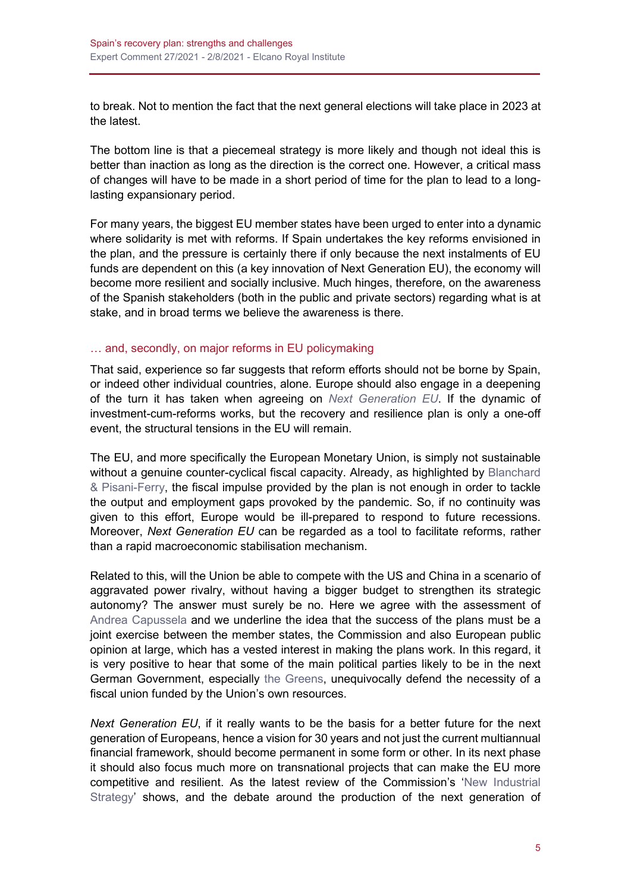to break. Not to mention the fact that the next general elections will take place in 2023 at the latest.

The bottom line is that a piecemeal strategy is more likely and though not ideal this is better than inaction as long as the direction is the correct one. However, a critical mass of changes will have to be made in a short period of time for the plan to lead to a longlasting expansionary period.

For many years, the biggest EU member states have been urged to enter into a dynamic where solidarity is met with reforms. If Spain undertakes the key reforms envisioned in the plan, and the pressure is certainly there if only because the next instalments of EU funds are dependent on this (a key innovation of Next Generation EU), the economy will become more resilient and socially inclusive. Much hinges, therefore, on the awareness of the Spanish stakeholders (both in the public and private sectors) regarding what is at stake, and in broad terms we believe the awareness is there.

## … and, secondly, on major reforms in EU policymaking

That said, experience so far suggests that reform efforts should not be borne by Spain, or indeed other individual countries, alone. Europe should also engage in a deepening of the turn it has taken when agreeing on *[Next Generation EU](https://blog.realinstitutoelcano.org/tag/next-generation-eu/)*. If the dynamic of investment-cum-reforms works, but the recovery and resilience plan is only a one-off event, the structural tensions in the EU will remain.

The EU, and more specifically the European Monetary Union, is simply not sustainable without a genuine counter-cyclical fiscal capacity. Already, as highlighted by Blanchard [& Pisani-Ferry,](https://legrandcontinent.eu/es/wp-content/uploads/sites/6/2021/05/EN_policy_paper_OB_JPF_Finale-1.pdf) the fiscal impulse provided by the plan is not enough in order to tackle the output and employment gaps provoked by the pandemic. So, if no continuity was given to this effort, Europe would be ill-prepared to respond to future recessions. Moreover, *Next Generation EU* can be regarded as a tool to facilitate reforms, rather than a rapid macroeconomic stabilisation mechanism.

Related to this, will the Union be able to compete with the US and China in a scenario of aggravated power rivalry, without having a bigger budget to strengthen its strategic autonomy? The answer must surely be no. Here we agree with the assessment of [Andrea Capussela](https://geopolitique.eu/en/2021/05/24/italy-and-europe-will-rise-or-fall-together/) and we underline the idea that the success of the plans must be a joint exercise between the member states, the Commission and also European public opinion at large, which has a vested interest in making the plans work. In this regard, it is very positive to hear that some of the main political parties likely to be in the next German Government, especially [the Greens,](https://www.bruegel.org/2021/05/a-stronger-euro-comes-with-more-responsibility/) unequivocally defend the necessity of a fiscal union funded by the Union's own resources.

*Next Generation EU*, if it really wants to be the basis for a better future for the next generation of Europeans, hence a vision for 30 years and not just the current multiannual financial framework, should become permanent in some form or other. In its next phase it should also focus much more on transnational projects that can make the EU more competitive and resilient. As the latest review of the Commission's ['New Industrial](https://ec.europa.eu/commission/presscorner/detail/en/IP_21_1884)  [Strategy'](https://ec.europa.eu/commission/presscorner/detail/en/IP_21_1884) shows, and the debate around the production of the next generation o[f](https://www.euractiv.com/section/digital/news/leading-chip-maker-answers-eu-call-to-scale-up-european-capacity/)